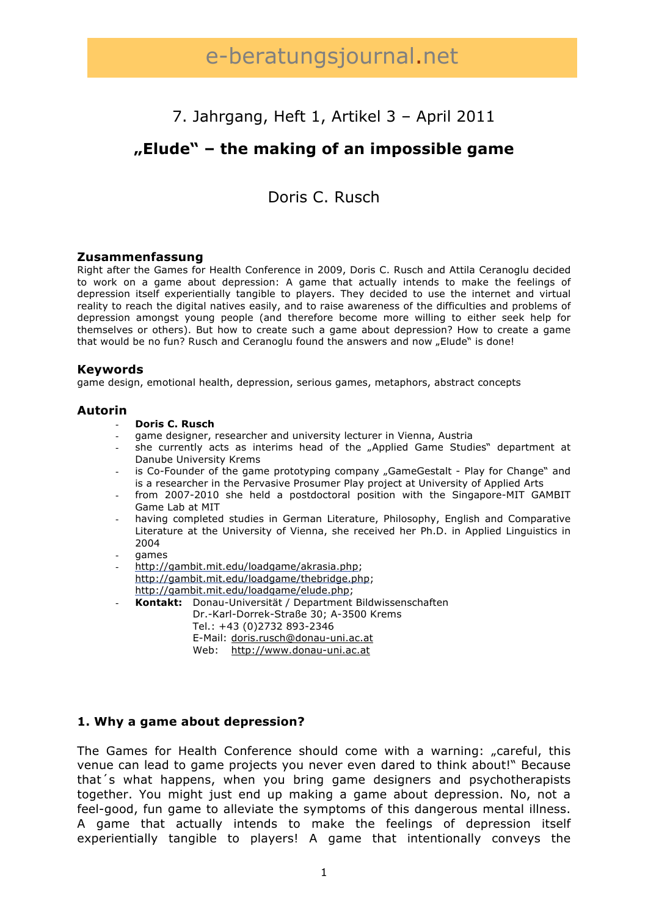# e-beratungsjournal.net

# 7. Jahrgang, Heft 1, Artikel 3 – April 2011

# **"Elude" – the making of an impossible game**

# Doris C. Rusch

### **Zusammenfassung**

Right after the Games for Health Conference in 2009, Doris C. Rusch and Attila Ceranoglu decided to work on a game about depression: A game that actually intends to make the feelings of depression itself experientially tangible to players. They decided to use the internet and virtual reality to reach the digital natives easily, and to raise awareness of the difficulties and problems of depression amongst young people (and therefore become more willing to either seek help for themselves or others). But how to create such a game about depression? How to create a game that would be no fun? Rusch and Ceranoglu found the answers and now "Elude" is done!

#### **Keywords**

game design, emotional health, depression, serious games, metaphors, abstract concepts

#### **Autorin**

#### - **Doris C. Rusch**

- game designer, researcher and university lecturer in Vienna, Austria
- she currently acts as interims head of the "Applied Game Studies" department at Danube University Krems
- is Co-Founder of the game prototyping company "GameGestalt Play for Change" and is a researcher in the Pervasive Prosumer Play project at University of Applied Arts
- from 2007-2010 she held a postdoctoral position with the Singapore-MIT GAMBIT Game Lab at MIT
- having completed studies in German Literature, Philosophy, English and Comparative Literature at the University of Vienna, she received her Ph.D. in Applied Linguistics in 2004
- games
- http://gambit.mit.edu/loadgame/akrasia.php; http://gambit.mit.edu/loadgame/thebridge.php; http://gambit.mit.edu/loadgame/elude.php;
- **Kontakt:** Donau-Universität / Department Bildwissenschaften Dr.-Karl-Dorrek-Straße 30; A-3500 Krems Tel.: +43 (0)2732 893-2346 E-Mail: doris.rusch@donau-uni.ac.at Web: http://www.donau-uni.ac.at

# **1. Why a game about depression?**

The Games for Health Conference should come with a warning: "careful, this venue can lead to game projects you never even dared to think about!" Because that´s what happens, when you bring game designers and psychotherapists together. You might just end up making a game about depression. No, not a feel-good, fun game to alleviate the symptoms of this dangerous mental illness. A game that actually intends to make the feelings of depression itself experientially tangible to players! A game that intentionally conveys the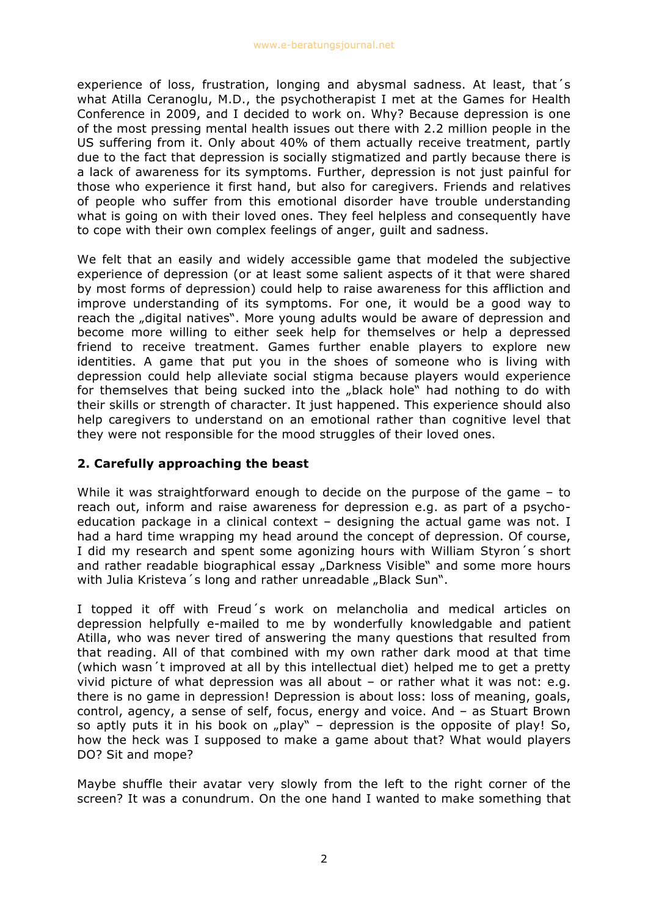experience of loss, frustration, longing and abysmal sadness. At least, that´s what Atilla Ceranoglu, M.D., the psychotherapist I met at the Games for Health Conference in 2009, and I decided to work on. Why? Because depression is one of the most pressing mental health issues out there with 2.2 million people in the US suffering from it. Only about 40% of them actually receive treatment, partly due to the fact that depression is socially stigmatized and partly because there is a lack of awareness for its symptoms. Further, depression is not just painful for those who experience it first hand, but also for caregivers. Friends and relatives of people who suffer from this emotional disorder have trouble understanding what is going on with their loved ones. They feel helpless and consequently have to cope with their own complex feelings of anger, guilt and sadness.

We felt that an easily and widely accessible game that modeled the subjective experience of depression (or at least some salient aspects of it that were shared by most forms of depression) could help to raise awareness for this affliction and improve understanding of its symptoms. For one, it would be a good way to reach the "digital natives". More young adults would be aware of depression and become more willing to either seek help for themselves or help a depressed friend to receive treatment. Games further enable players to explore new identities. A game that put you in the shoes of someone who is living with depression could help alleviate social stigma because players would experience for themselves that being sucked into the "black hole" had nothing to do with their skills or strength of character. It just happened. This experience should also help caregivers to understand on an emotional rather than cognitive level that they were not responsible for the mood struggles of their loved ones.

# **2. Carefully approaching the beast**

While it was straightforward enough to decide on the purpose of the game – to reach out, inform and raise awareness for depression e.g. as part of a psychoeducation package in a clinical context – designing the actual game was not. I had a hard time wrapping my head around the concept of depression. Of course, I did my research and spent some agonizing hours with William Styron´s short and rather readable biographical essay "Darkness Visible" and some more hours with Julia Kristeva's long and rather unreadable "Black Sun".

I topped it off with Freud´s work on melancholia and medical articles on depression helpfully e-mailed to me by wonderfully knowledgable and patient Atilla, who was never tired of answering the many questions that resulted from that reading. All of that combined with my own rather dark mood at that time (which wasn´t improved at all by this intellectual diet) helped me to get a pretty vivid picture of what depression was all about – or rather what it was not: e.g. there is no game in depression! Depression is about loss: loss of meaning, goals, control, agency, a sense of self, focus, energy and voice. And – as Stuart Brown so aptly puts it in his book on  $n$  play" – depression is the opposite of play! So, how the heck was I supposed to make a game about that? What would players DO? Sit and mope?

Maybe shuffle their avatar very slowly from the left to the right corner of the screen? It was a conundrum. On the one hand I wanted to make something that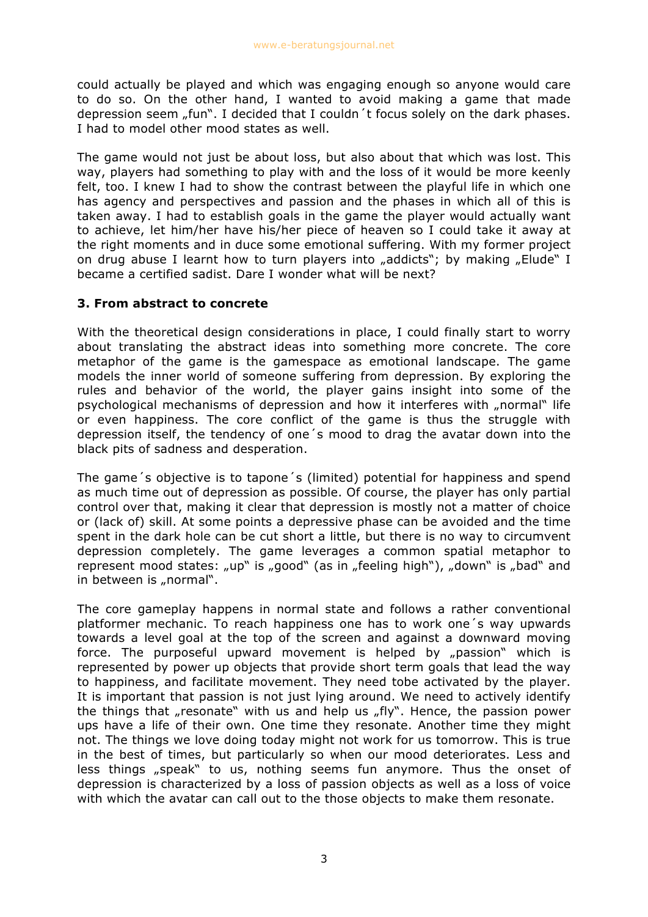could actually be played and which was engaging enough so anyone would care to do so. On the other hand, I wanted to avoid making a game that made depression seem "fun". I decided that I couldn't focus solely on the dark phases. I had to model other mood states as well.

The game would not just be about loss, but also about that which was lost. This way, players had something to play with and the loss of it would be more keenly felt, too. I knew I had to show the contrast between the playful life in which one has agency and perspectives and passion and the phases in which all of this is taken away. I had to establish goals in the game the player would actually want to achieve, let him/her have his/her piece of heaven so I could take it away at the right moments and in duce some emotional suffering. With my former project on drug abuse I learnt how to turn players into "addicts"; by making "Elude" I became a certified sadist. Dare I wonder what will be next?

# **3. From abstract to concrete**

With the theoretical design considerations in place, I could finally start to worry about translating the abstract ideas into something more concrete. The core metaphor of the game is the gamespace as emotional landscape. The game models the inner world of someone suffering from depression. By exploring the rules and behavior of the world, the player gains insight into some of the psychological mechanisms of depression and how it interferes with "normal" life or even happiness. The core conflict of the game is thus the struggle with depression itself, the tendency of one´s mood to drag the avatar down into the black pits of sadness and desperation.

The game´s objective is to tapone´s (limited) potential for happiness and spend as much time out of depression as possible. Of course, the player has only partial control over that, making it clear that depression is mostly not a matter of choice or (lack of) skill. At some points a depressive phase can be avoided and the time spent in the dark hole can be cut short a little, but there is no way to circumvent depression completely. The game leverages a common spatial metaphor to represent mood states: "up" is "good" (as in "feeling high"), "down" is "bad" and in between is "normal".

The core gameplay happens in normal state and follows a rather conventional platformer mechanic. To reach happiness one has to work one´s way upwards towards a level goal at the top of the screen and against a downward moving force. The purposeful upward movement is helped by "passion" which is represented by power up objects that provide short term goals that lead the way to happiness, and facilitate movement. They need tobe activated by the player. It is important that passion is not just lying around. We need to actively identify the things that "resonate" with us and help us "fly". Hence, the passion power ups have a life of their own. One time they resonate. Another time they might not. The things we love doing today might not work for us tomorrow. This is true in the best of times, but particularly so when our mood deteriorates. Less and less things "speak" to us, nothing seems fun anymore. Thus the onset of depression is characterized by a loss of passion objects as well as a loss of voice with which the avatar can call out to the those objects to make them resonate.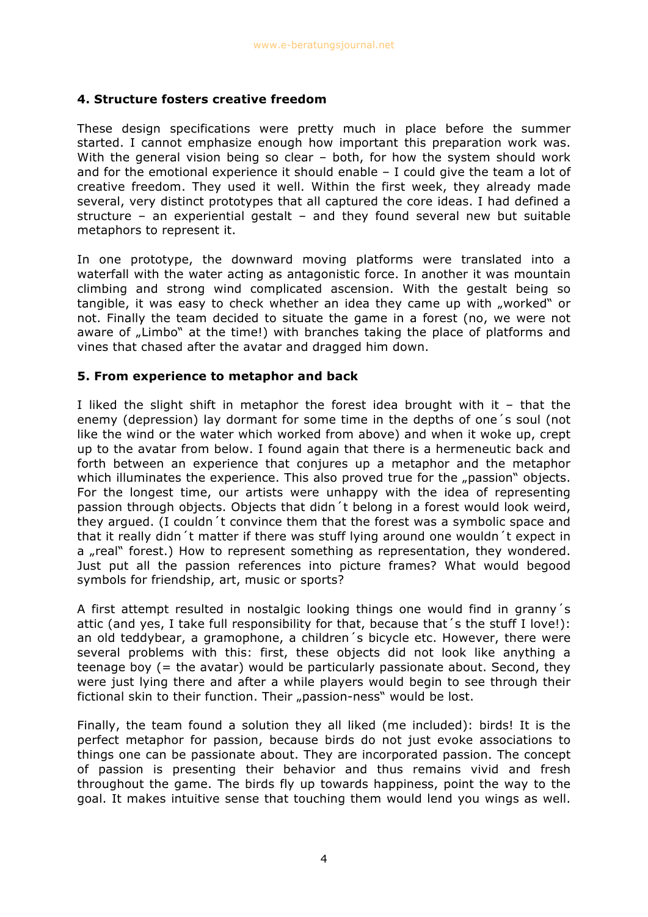## **4. Structure fosters creative freedom**

These design specifications were pretty much in place before the summer started. I cannot emphasize enough how important this preparation work was. With the general vision being so clear - both, for how the system should work and for the emotional experience it should enable – I could give the team a lot of creative freedom. They used it well. Within the first week, they already made several, very distinct prototypes that all captured the core ideas. I had defined a structure – an experiential gestalt – and they found several new but suitable metaphors to represent it.

In one prototype, the downward moving platforms were translated into a waterfall with the water acting as antagonistic force. In another it was mountain climbing and strong wind complicated ascension. With the gestalt being so tangible, it was easy to check whether an idea they came up with "worked" or not. Finally the team decided to situate the game in a forest (no, we were not aware of "Limbo" at the time!) with branches taking the place of platforms and vines that chased after the avatar and dragged him down.

### **5. From experience to metaphor and back**

I liked the slight shift in metaphor the forest idea brought with it  $-$  that the enemy (depression) lay dormant for some time in the depths of one´s soul (not like the wind or the water which worked from above) and when it woke up, crept up to the avatar from below. I found again that there is a hermeneutic back and forth between an experience that conjures up a metaphor and the metaphor which illuminates the experience. This also proved true for the "passion" objects. For the longest time, our artists were unhappy with the idea of representing passion through objects. Objects that didn´t belong in a forest would look weird, they argued. (I couldn´t convince them that the forest was a symbolic space and that it really didn´t matter if there was stuff lying around one wouldn´t expect in a "real" forest.) How to represent something as representation, they wondered. Just put all the passion references into picture frames? What would begood symbols for friendship, art, music or sports?

A first attempt resulted in nostalgic looking things one would find in granny´s attic (and yes, I take full responsibility for that, because that´s the stuff I love!): an old teddybear, a gramophone, a children´s bicycle etc. However, there were several problems with this: first, these objects did not look like anything a teenage boy (= the avatar) would be particularly passionate about. Second, they were just lying there and after a while players would begin to see through their fictional skin to their function. Their "passion-ness" would be lost.

Finally, the team found a solution they all liked (me included): birds! It is the perfect metaphor for passion, because birds do not just evoke associations to things one can be passionate about. They are incorporated passion. The concept of passion is presenting their behavior and thus remains vivid and fresh throughout the game. The birds fly up towards happiness, point the way to the goal. It makes intuitive sense that touching them would lend you wings as well.